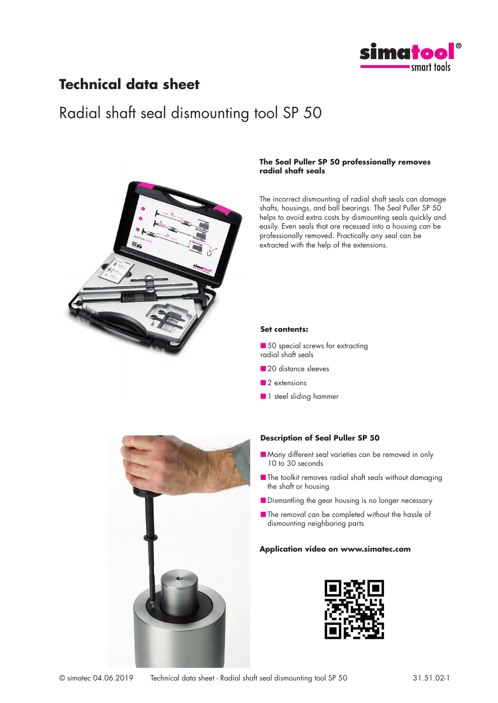

### **Technical data sheet**

## Radial shaft seal dismounting tool SP 50



#### **The Seal Puller SP 50 professionally removes radial shaft seals**

The incorrect dismounting of radial shaft seals can damage shafts, housings, and ball bearings. The Seal Puller SP 50 helps to avoid extra costs by dismounting seals quickly and easily. Even seals that are recessed into a housing can be professionally removed. Practically any seal can be extracted with the help of the extensions.

#### **Set contents:**

■ 50 special screws for extracting radial shaft seals

- 20 distance sleeves
- 2 extensions
- 1 steel sliding hammer



#### **Description of Seal Puller SP 50**

- Many different seal varieties can be removed in only 10 to 30 seconds
- The toolkit removes radial shaft seals without damaging the shaft or housing
- Dismantling the gear housing is no longer necessary
- The removal can be completed without the hassle of dismounting neighboring parts

#### **Application video on www.simatec.com**